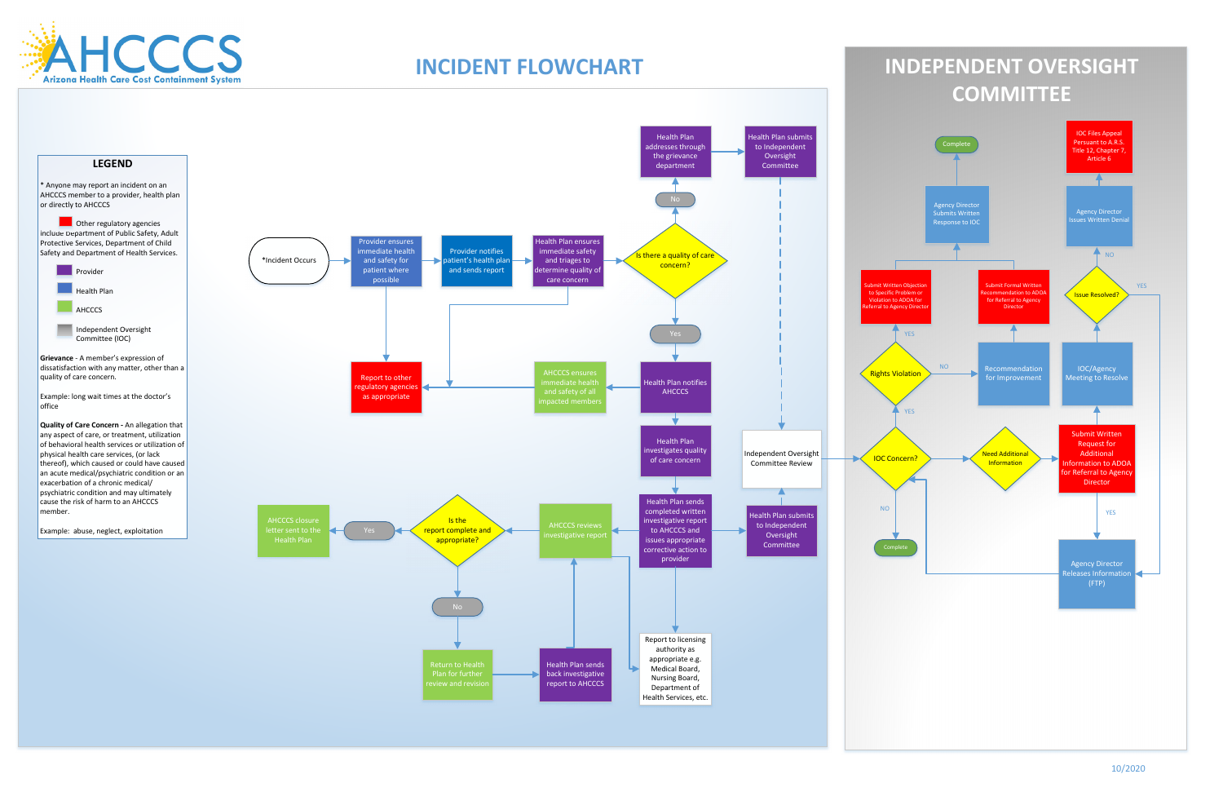Other regulatory agencies include Department of Public Safety, Adult Protective Services, Department of Child Safety and Department of Health Services.

10/2020

**Grievance** ‐ A member's expression of dissatisfaction with any matter, other than <sup>a</sup> quality of care concern.

# **LEGEND**

\* Anyone may report an incident on an AHCCCS member to <sup>a</sup> provider, health plan or directly to AHCCCS







Example: long wait times at the doctor's office

**Quality of Care Concern ‐** An allegation that any aspect of care, or treatment, utilization of behavioral health services or utilization of physical health care services, (or lack thereof), which caused or could have caused an acute medical/psychiatric condition or an exacerbation of <sup>a</sup> chronic medical/ psychiatric condition and may ultimately cause the risk of harm to an AHCCCS member.

Example: abuse, neglect, exploitation